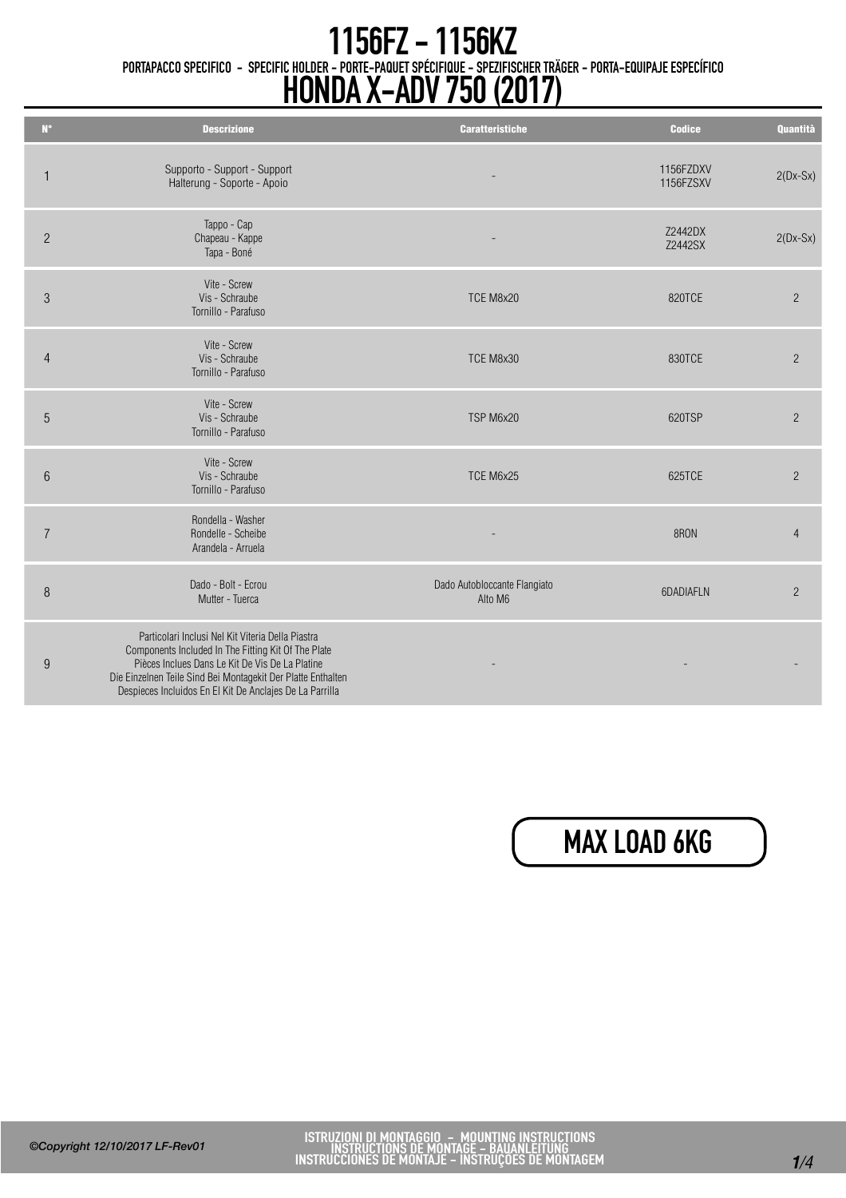## PORTAPACCO SPECIFICO - SPECIFIC HOLDER - PORTE-PAQUET SPÉCIFIQUE - SPEZIFISCHER TRÄGER - PORTA-EQUIPAJE ESPECÍFICO 1156FZ - 1156KZ HONDA X-ADV 750 (2017)

| $N^{\circ}$    | <b>Descrizione</b>                                                                                                                                                                                                                                                                      | <b>Caratteristiche</b>                  | <b>Codice</b>          | <b>Quantità</b> |
|----------------|-----------------------------------------------------------------------------------------------------------------------------------------------------------------------------------------------------------------------------------------------------------------------------------------|-----------------------------------------|------------------------|-----------------|
| $\mathbf{1}$   | Supporto - Support - Support<br>Halterung - Soporte - Apoio                                                                                                                                                                                                                             |                                         | 1156FZDXV<br>1156FZSXV | $2(Dx-Sx)$      |
| $\overline{2}$ | Tappo - Cap<br>Chapeau - Kappe<br>Tapa - Boné                                                                                                                                                                                                                                           |                                         | Z2442DX<br>Z2442SX     | $2(Dx-Sx)$      |
| 3              | Vite - Screw<br>Vis - Schraube<br>Tornillo - Parafuso                                                                                                                                                                                                                                   | TCE M8x20                               | 820TCE                 | $\overline{2}$  |
| $\overline{4}$ | Vite - Screw<br>Vis - Schraube<br>Tornillo - Parafuso                                                                                                                                                                                                                                   | TCE M8x30                               | 830TCE                 | $\overline{2}$  |
| 5              | Vite - Screw<br>Vis - Schraube<br>Tornillo - Parafuso                                                                                                                                                                                                                                   | TSP M6x20                               | 620TSP                 | $\overline{2}$  |
| $6\phantom{.}$ | Vite - Screw<br>Vis - Schraube<br>Tornillo - Parafuso                                                                                                                                                                                                                                   | TCE M6x25                               | 625TCE                 | $\overline{2}$  |
| $\overline{7}$ | Rondella - Washer<br>Rondelle - Scheibe<br>Arandela - Arruela                                                                                                                                                                                                                           |                                         | 8RON                   | $\overline{4}$  |
| 8              | Dado - Bolt - Ecrou<br>Mutter - Tuerca                                                                                                                                                                                                                                                  | Dado Autobloccante Flangiato<br>Alto M6 | 6DADIAFLN              | $\overline{2}$  |
| 9              | Particolari Inclusi Nel Kit Viteria Della Piastra<br>Components Included In The Fitting Kit Of The Plate<br>Pièces Inclues Dans Le Kit De Vis De La Platine<br>Die Einzelnen Teile Sind Bei Montagekit Der Platte Enthalten<br>Despieces Incluidos En El Kit De Anclajes De La Parrilla |                                         |                        |                 |

## MAX LOAD 6KG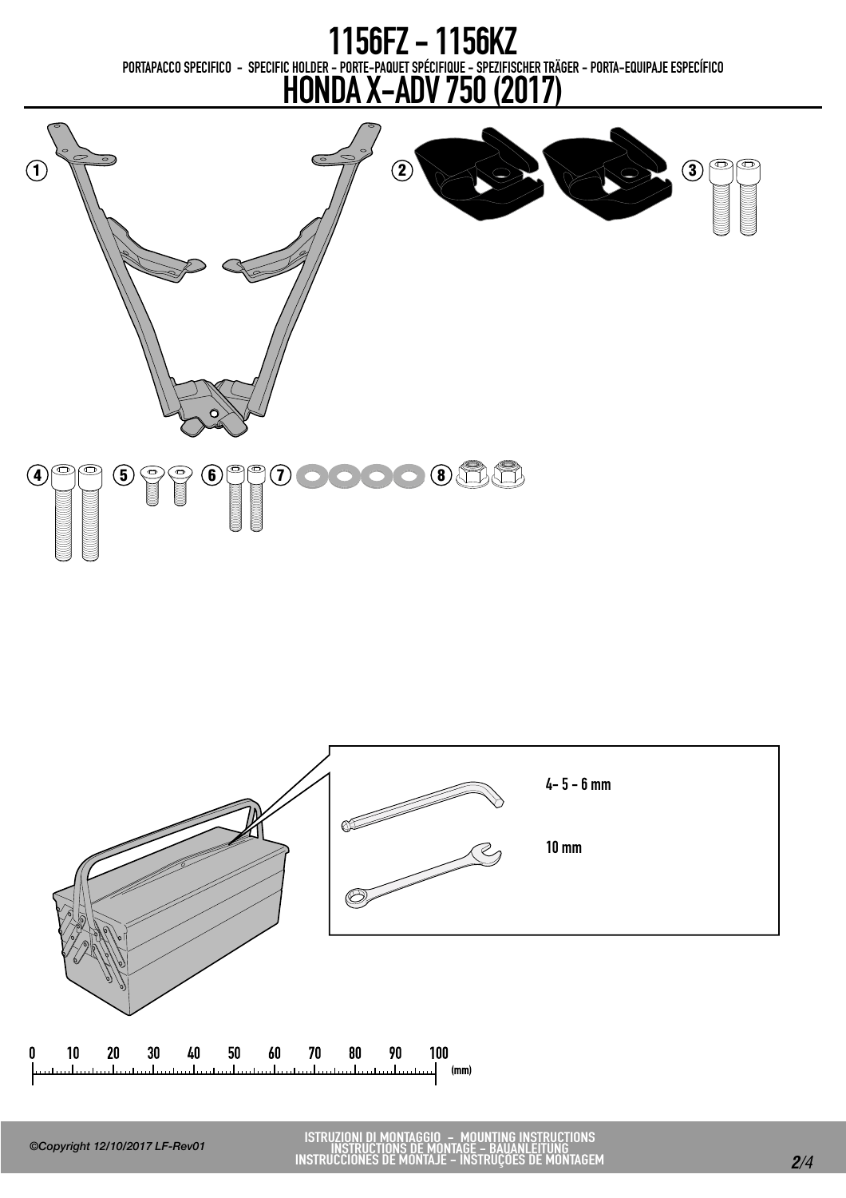PORTAPACCO SPECIFICO - SPECIFIC HOLDER - PORTE-PAQUET SPÉCIFIQUE - SPEZIFISCHER TRÄGER - PORTA-EQUIPAJE ESPECÍFICO 1156FZ - 1156KZ

## HONDA X-ADV 750 (2017)



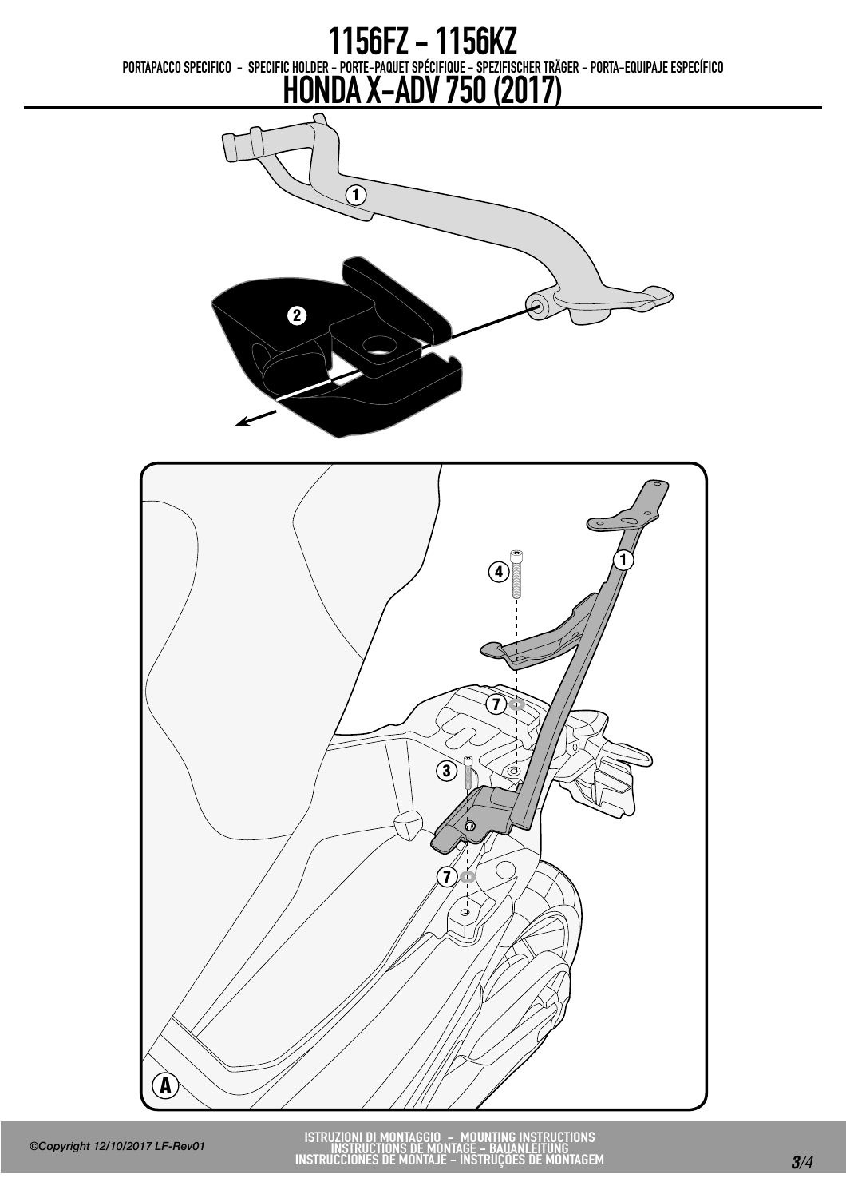